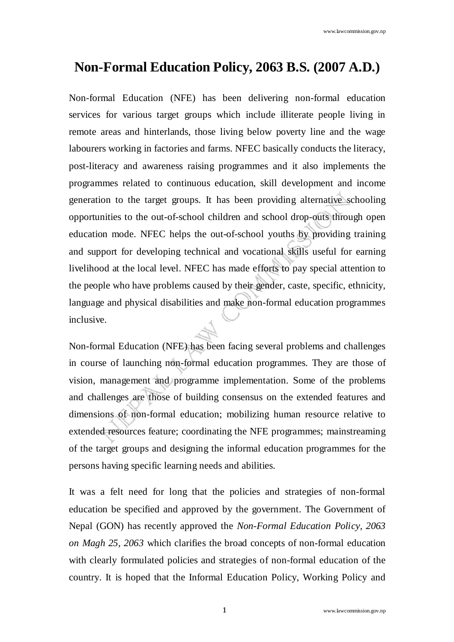# **Non-Formal Education Policy, 2063 B.S. (2007 A.D.)**

Non-formal Education (NFE) has been delivering non-formal education services for various target groups which include illiterate people living in remote areas and hinterlands, those living below poverty line and the wage labourers working in factories and farms. NFEC basically conducts the literacy, post-literacy and awareness raising programmes and it also implements the programmes related to continuous education, skill development and income generation to the target groups. It has been providing alternative schooling opportunities to the out-of-school children and school drop-outs through open education mode. NFEC helps the out-of-school youths by providing training and support for developing technical and vocational skills useful for earning livelihood at the local level. NFEC has made efforts to pay special attention to the people who have problems caused by their gender, caste, specific, ethnicity, language and physical disabilities and make non-formal education programmes inclusive.

Non-formal Education (NFE) has been facing several problems and challenges in course of launching non-formal education programmes. They are those of vision, management and programme implementation. Some of the problems and challenges are those of building consensus on the extended features and dimensions of non-formal education; mobilizing human resource relative to extended resources feature; coordinating the NFE programmes; mainstreaming of the target groups and designing the informal education programmes for the persons having specific learning needs and abilities.

It was a felt need for long that the policies and strategies of non-formal education be specified and approved by the government. The Government of Nepal (GON) has recently approved the *Non-Formal Education Policy, 2063 on Magh 25, 2063* which clarifies the broad concepts of non-formal education with clearly formulated policies and strategies of non-formal education of the country. It is hoped that the Informal Education Policy, Working Policy and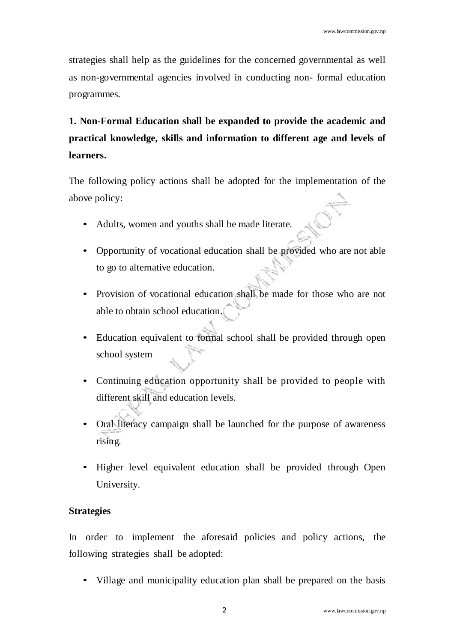strategies shall help as the guidelines for the concerned governmental as well as non-governmental agencies involved in conducting non- formal education programmes.

**1. Non-Formal Education shall be expanded to provide the academic and practical knowledge, skills and information to different age and levels of learners.**

The following policy actions shall be adopted for the implementation of the above policy:

- Adults, women and youths shall be made literate.
- Opportunity of vocational education shall be provided who are not able to go to alternative education.
- Provision of vocational education shall be made for those who are not able to obtain school education.
- Education equivalent to formal school shall be provided through open school system
- Continuing education opportunity shall be provided to people with different skill and education levels.
- Oral literacy campaign shall be launched for the purpose of awareness rising.
- Higher level equivalent education shall be provided through Open University.

### **Strategies**

In order to implement the aforesaid policies and policy actions, the following strategies shall be adopted:

• Village and municipality education plan shall be prepared on the basis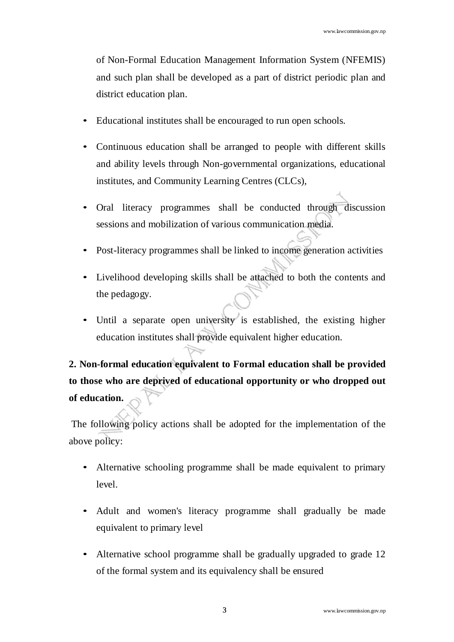of Non-Formal Education Management Information System (NFEMIS) and such plan shall be developed as a part of district periodic plan and district education plan.

- Educational institutes shall be encouraged to run open schools.
- Continuous education shall be arranged to people with different skills and ability levels through Non-governmental organizations, educational institutes, and Community Learning Centres (CLCs),
- Oral literacy programmes shall be conducted through discussion sessions and mobilization of various communication media.
- Post-literacy programmes shall be linked to income generation activities
- Livelihood developing skills shall be attached to both the contents and the pedagogy.
- Until a separate open university is established, the existing higher education institutes shall provide equivalent higher education.

**2. Non-formal education equivalent to Formal education shall be provided to those who are deprived of educational opportunity or who dropped out of education.** 

- Alternative schooling programme shall be made equivalent to primary level.
- Adult and women's literacy programme shall gradually be made equivalent to primary level
- Alternative school programme shall be gradually upgraded to grade 12 of the formal system and its equivalency shall be ensured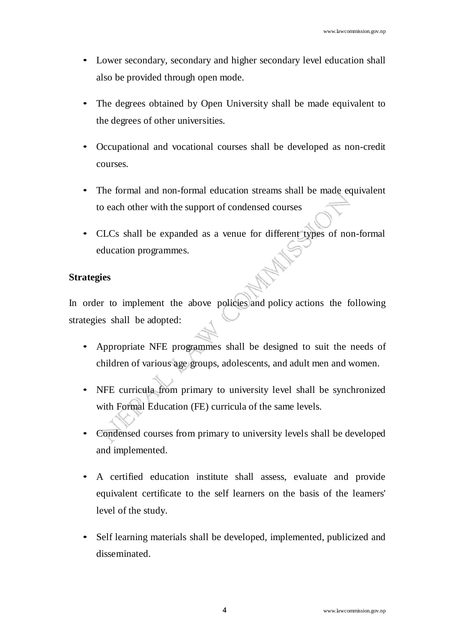- Lower secondary, secondary and higher secondary level education shall also be provided through open mode.
- The degrees obtained by Open University shall be made equivalent to the degrees of other universities.
- Occupational and vocational courses shall be developed as non-credit courses.
- The formal and non-formal education streams shall be made equivalent to each other with the support of condensed courses
- CLCs shall be expanded as a venue for different types of non-formal education programmes.

In order to implement the above policies and policy actions the following strategies shall be adopted:

- Appropriate NFE programmes shall be designed to suit the needs of children of various age groups, adolescents, and adult men and women.
- NFE curricula from primary to university level shall be synchronized with Formal Education (FE) curricula of the same levels.
- Condensed courses from primary to university levels shall be developed and implemented.
- A certified education institute shall assess, evaluate and provide equivalent certificate to the self learners on the basis of the learners' level of the study.
- Self learning materials shall be developed, implemented, publicized and disseminated.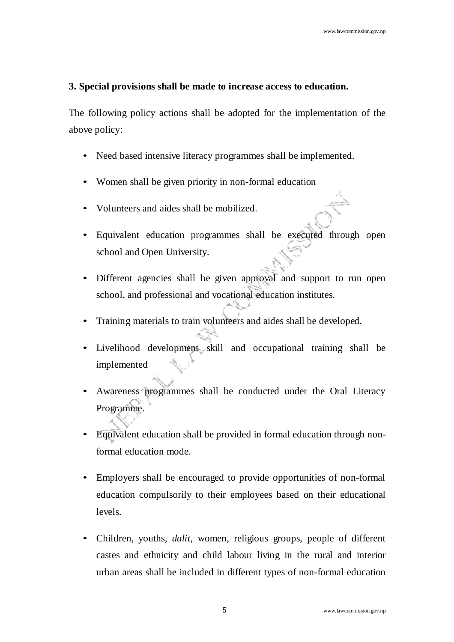### **3. Special provisions shall be made to increase access to education.**

- Need based intensive literacy programmes shall be implemented.
- Women shall be given priority in non-formal education
- Volunteers and aides shall be mobilized.
- Equivalent education programmes shall be executed through open school and Open University.
- Different agencies shall be given approval and support to run open school, and professional and vocational education institutes.
- Training materials to train volunteers and aides shall be developed.
- Livelihood development skill and occupational training shall be implemented
- Awareness programmes shall be conducted under the Oral Literacy Programme.
- Equivalent education shall be provided in formal education through nonformal education mode.
- Employers shall be encouraged to provide opportunities of non-formal education compulsorily to their employees based on their educational levels.
- Children, youths, *dalit,* women, religious groups, people of different castes and ethnicity and child labour living in the rural and interior urban areas shall be included in different types of non-formal education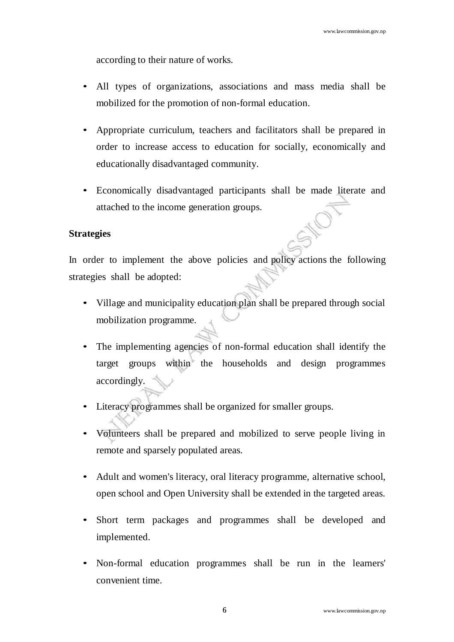according to their nature of works.

- All types of organizations, associations and mass media shall be mobilized for the promotion of non-formal education.
- Appropriate curriculum, teachers and facilitators shall be prepared in order to increase access to education for socially, economically and educationally disadvantaged community.
- Economically disadvantaged participants shall be made literate and attached to the income generation groups.

#### **Strategies**

In order to implement the above policies and policy actions the following strategies shall be adopted:

- Village and municipality education plan shall be prepared through social mobilization programme.
- The implementing agencies of non-formal education shall identify the target groups within the households and design programmes accordingly.
- Literacy programmes shall be organized for smaller groups.
- Volunteers shall be prepared and mobilized to serve people living in remote and sparsely populated areas.
- Adult and women's literacy, oral literacy programme, alternative school, open school and Open University shall be extended in the targeted areas.
- Short term packages and programmes shall be developed and implemented.
- Non-formal education programmes shall be run in the learners' convenient time.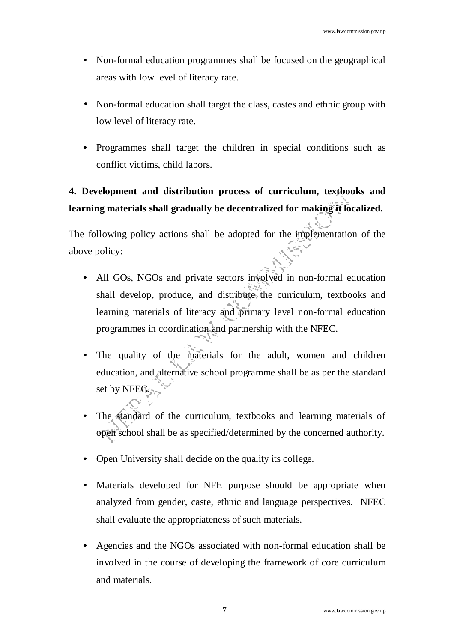- Non-formal education programmes shall be focused on the geographical areas with low level of literacy rate.
- Non-formal education shall target the class, castes and ethnic group with low level of literacy rate.
- Programmes shall target the children in special conditions such as conflict victims, child labors.

# **4. Development and distribution process of curriculum, textbooks and learning materials shall gradually be decentralized for making it localized.**

- All GOs, NGOs and private sectors involved in non-formal education shall develop, produce, and distribute the curriculum, textbooks and learning materials of literacy and primary level non-formal education programmes in coordination and partnership with the NFEC.
- The quality of the materials for the adult, women and children education, and alternative school programme shall be as per the standard set by NFEC.
- The standard of the curriculum, textbooks and learning materials of open school shall be as specified/determined by the concerned authority.
- Open University shall decide on the quality its college.
- Materials developed for NFE purpose should be appropriate when analyzed from gender, caste, ethnic and language perspectives. NFEC shall evaluate the appropriateness of such materials.
- Agencies and the NGOs associated with non-formal education shall be involved in the course of developing the framework of core curriculum and materials.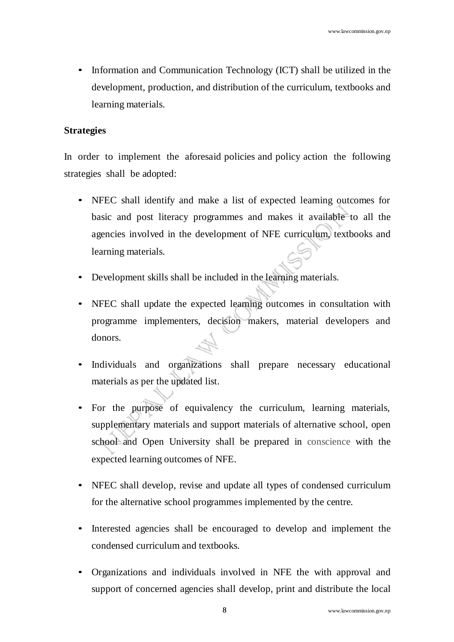• Information and Communication Technology (ICT) shall be utilized in the development, production, and distribution of the curriculum, textbooks and learning materials.

### **Strategies**

In order to implement the aforesaid policies and policy action the following strategies shall be adopted:

- NFEC shall identify and make a list of expected learning outcomes for basic and post literacy programmes and makes it available to all the agencies involved in the development of NFE curriculum, textbooks and learning materials.
- Development skills shall be included in the learning materials.
- NFEC shall update the expected learning outcomes in consultation with programme implementers, decision makers, material developers and donors.
- Individuals and organizations shall prepare necessary educational materials as per the updated list.
- For the purpose of equivalency the curriculum, learning materials, supplementary materials and support materials of alternative school, open school and Open University shall be prepared in conscience with the expected learning outcomes of NFE.
- NFEC shall develop, revise and update all types of condensed curriculum for the alternative school programmes implemented by the centre.
- Interested agencies shall be encouraged to develop and implement the condensed curriculum and textbooks.
- Organizations and individuals involved in NFE the with approval and support of concerned agencies shall develop, print and distribute the local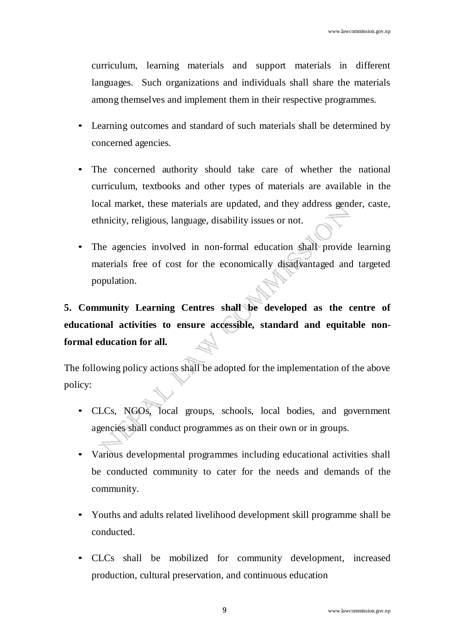curriculum, learning materials and support materials in different languages. Such organizations and individuals shall share the materials among themselves and implement them in their respective programmes.

- Learning outcomes and standard of such materials shall be determined by concerned agencies.
- The concerned authority should take care of whether the national curriculum, textbooks and other types of materials are available in the local market, these materials are updated, and they address gender, caste, ethnicity, religious, language, disability issues or not.
- The agencies involved in non-formal education shall provide learning materials free of cost for the economically disadvantaged and targeted population.

# **5. Community Learning Centres shall be developed as the centre of educational activities to ensure accessible, standard and equitable nonformal education for all.**

- CLCs, NGOs, local groups, schools, local bodies, and government agencies shall conduct programmes as on their own or in groups.
- Various developmental programmes including educational activities shall be conducted community to cater for the needs and demands of the community.
- Youths and adults related livelihood development skill programme shall be conducted.
- CLCs shall be mobilized for community development, increased production, cultural preservation, and continuous education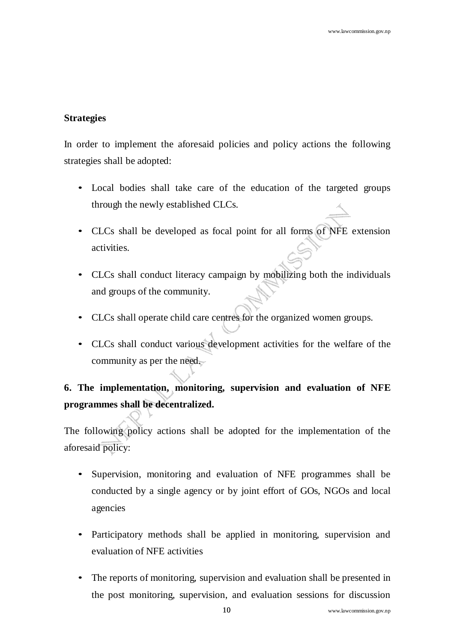In order to implement the aforesaid policies and policy actions the following strategies shall be adopted:

- Local bodies shall take care of the education of the targeted groups through the newly established CLCs.
- CLCs shall be developed as focal point for all forms of NFE extension activities.
- CLCs shall conduct literacy campaign by mobilizing both the individuals and groups of the community.
- CLCs shall operate child care centres for the organized women groups.
- CLCs shall conduct various development activities for the welfare of the community as per the need.

# **6. The implementation, monitoring, supervision and evaluation of NFE programmes shall be decentralized.**

- Supervision, monitoring and evaluation of NFE programmes shall be conducted by a single agency or by joint effort of GOs, NGOs and local agencies
- Participatory methods shall be applied in monitoring, supervision and evaluation of NFE activities
- The reports of monitoring, supervision and evaluation shall be presented in the post monitoring, supervision, and evaluation sessions for discussion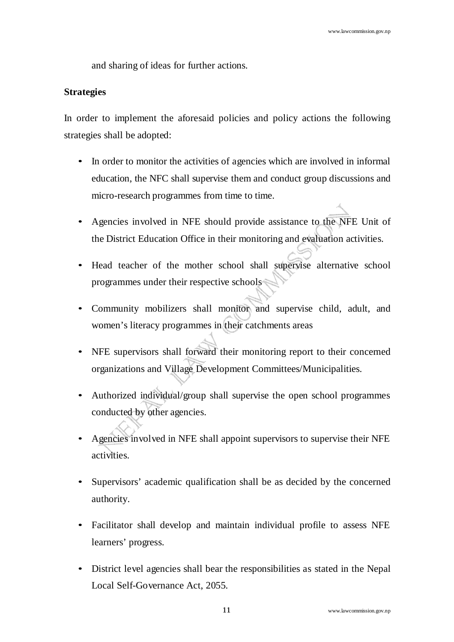and sharing of ideas for further actions.

### **Strategies**

In order to implement the aforesaid policies and policy actions the following strategies shall be adopted:

- In order to monitor the activities of agencies which are involved in informal education, the NFC shall supervise them and conduct group discussions and micro-research programmes from time to time.
- Agencies involved in NFE should provide assistance to the NFE Unit of the District Education Office in their monitoring and evaluation activities.
- Head teacher of the mother school shall supervise alternative school programmes under their respective schools
- Community mobilizers shall monitor and supervise child, adult, and women's literacy programmes in their catchments areas
- NFE supervisors shall forward their monitoring report to their concerned organizations and Village Development Committees/Municipalities.
- Authorized individual/group shall supervise the open school programmes conducted by other agencies.
- Agencies involved in NFE shall appoint supervisors to supervise their NFE activities.
- Supervisors' academic qualification shall be as decided by the concerned authority.
- Facilitator shall develop and maintain individual profile to assess NFE learners' progress.
- District level agencies shall bear the responsibilities as stated in the Nepal Local Self-Governance Act, 2055.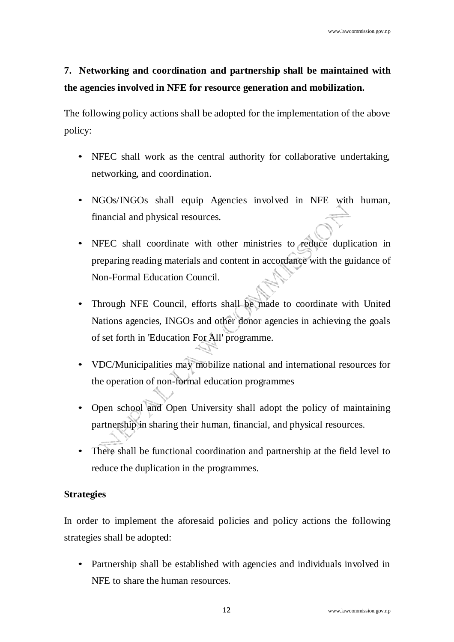# **7. Networking and coordination and partnership shall be maintained with the agencies involved in NFE for resource generation and mobilization.**

The following policy actions shall be adopted for the implementation of the above policy:

- NFEC shall work as the central authority for collaborative undertaking, networking, and coordination.
- NGOs/INGOs shall equip Agencies involved in NFE with human, financial and physical resources.
- NFEC shall coordinate with other ministries to reduce duplication in preparing reading materials and content in accordance with the guidance of Non-Formal Education Council.
- Through NFE Council, efforts shall be made to coordinate with United Nations agencies, INGOs and other donor agencies in achieving the goals of set forth in 'Education For All' programme.
- VDC/Municipalities may mobilize national and international resources for the operation of non-formal education programmes
- Open school and Open University shall adopt the policy of maintaining partnership in sharing their human, financial, and physical resources.
- There shall be functional coordination and partnership at the field level to reduce the duplication in the programmes.

### **Strategies**

In order to implement the aforesaid policies and policy actions the following strategies shall be adopted:

• Partnership shall be established with agencies and individuals involved in NFE to share the human resources.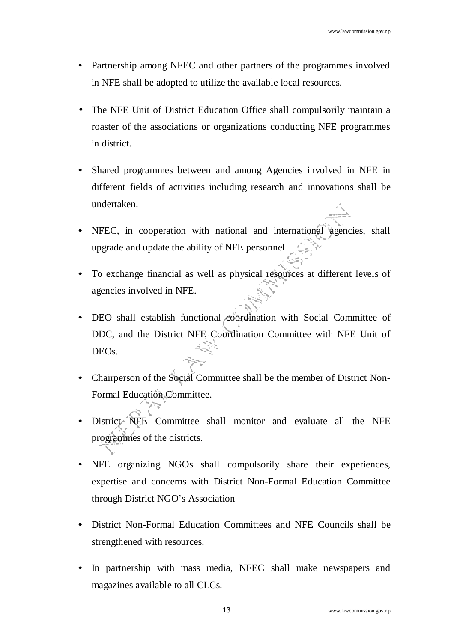- Partnership among NFEC and other partners of the programmes involved in NFE shall be adopted to utilize the available local resources.
- The NFE Unit of District Education Office shall compulsorily maintain a roaster of the associations or organizations conducting NFE programmes in district.
- Shared programmes between and among Agencies involved in NFE in different fields of activities including research and innovations shall be undertaken.
- NFEC, in cooperation with national and international agencies, shall upgrade and update the ability of NFE personnel
- To exchange financial as well as physical resources at different levels of agencies involved in NFE.
- DEO shall establish functional coordination with Social Committee of DDC, and the District NFE Coordination Committee with NFE Unit of DEOs.
- Chairperson of the Social Committee shall be the member of District Non-Formal Education Committee.
- District NFE Committee shall monitor and evaluate all the NFE programmes of the districts.
- NFE organizing NGOs shall compulsorily share their experiences, expertise and concerns with District Non-Formal Education Committee through District NGO's Association
- District Non-Formal Education Committees and NFE Councils shall be strengthened with resources.
- In partnership with mass media, NFEC shall make newspapers and magazines available to all CLCs.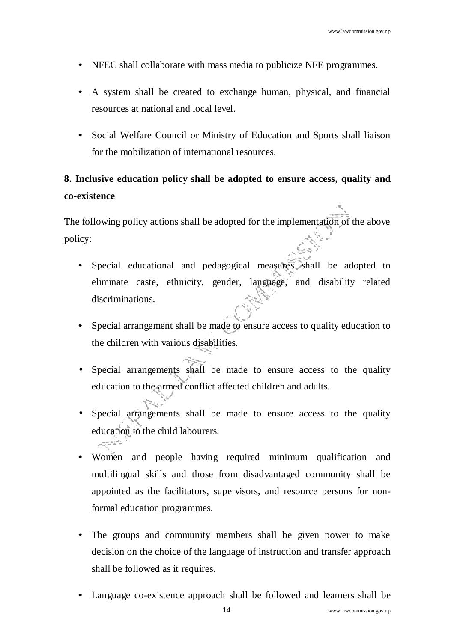- NFEC shall collaborate with mass media to publicize NFE programmes.
- A system shall be created to exchange human, physical, and financial resources at national and local level.
- Social Welfare Council or Ministry of Education and Sports shall liaison for the mobilization of international resources.

## **8. Inclusive education policy shall be adopted to ensure access, quality and co-existence**

- Special educational and pedagogical measures shall be adopted to eliminate caste, ethnicity, gender, language, and disability related discriminations.
- Special arrangement shall be made to ensure access to quality education to the children with various disabilities.
- Special arrangements shall be made to ensure access to the quality education to the armed conflict affected children and adults.
- Special arrangements shall be made to ensure access to the quality education to the child labourers.
- Women and people having required minimum qualification and multilingual skills and those from disadvantaged community shall be appointed as the facilitators, supervisors, and resource persons for nonformal education programmes.
- The groups and community members shall be given power to make decision on the choice of the language of instruction and transfer approach shall be followed as it requires.
- Language co-existence approach shall be followed and learners shall be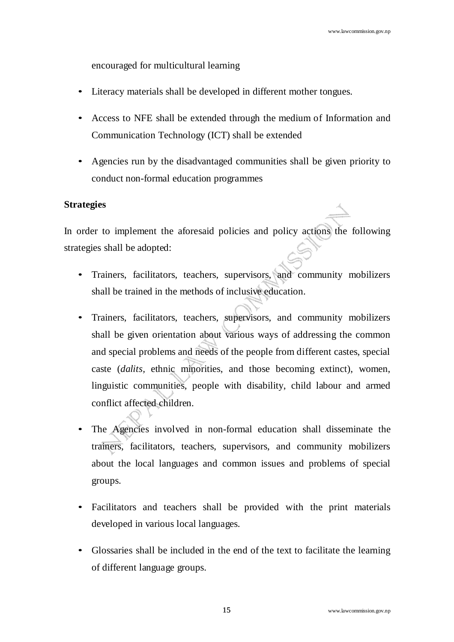encouraged for multicultural learning

- Literacy materials shall be developed in different mother tongues.
- Access to NFE shall be extended through the medium of Information and Communication Technology (ICT) shall be extended
- Agencies run by the disadvantaged communities shall be given priority to conduct non-formal education programmes

### **Strategies**

In order to implement the aforesaid policies and policy actions the following strategies shall be adopted:

- Trainers, facilitators, teachers, supervisors, and community mobilizers shall be trained in the methods of inclusive education.
- Trainers, facilitators, teachers, supervisors, and community mobilizers shall be given orientation about various ways of addressing the common and special problems and needs of the people from different castes, special caste (*dalits,* ethnic minorities, and those becoming extinct), women, linguistic communities, people with disability, child labour and armed conflict affected children.
- The Agencies involved in non-formal education shall disseminate the trainers, facilitators, teachers, supervisors, and community mobilizers about the local languages and common issues and problems of special groups.
- Facilitators and teachers shall be provided with the print materials developed in various local languages.
- Glossaries shall be included in the end of the text to facilitate the learning of different language groups.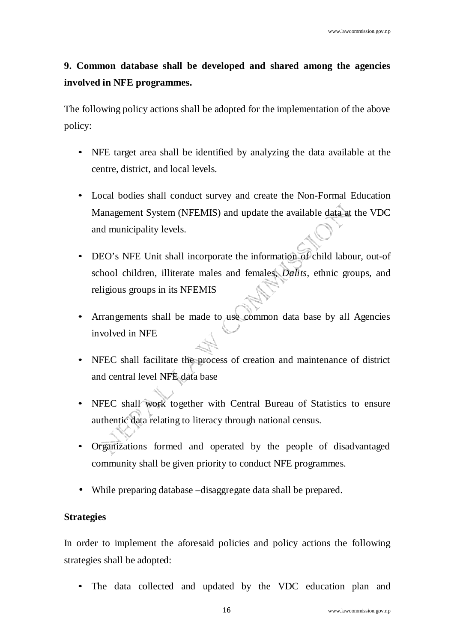# **9. Common database shall be developed and shared among the agencies involved in NFE programmes.**

The following policy actions shall be adopted for the implementation of the above policy:

- NFE target area shall be identified by analyzing the data available at the centre, district, and local levels.
- Local bodies shall conduct survey and create the Non-Formal Education Management System (NFEMIS) and update the available data at the VDC and municipality levels.
- DEO's NFE Unit shall incorporate the information of child labour, out-of school children, illiterate males and females, *Dalits*, ethnic groups, and religious groups in its NFEMIS
- Arrangements shall be made to use common data base by all Agencies involved in NFE
- NFEC shall facilitate the process of creation and maintenance of district and central level NFE data base
- NFEC shall work together with Central Bureau of Statistics to ensure authentic data relating to literacy through national census.
- Organizations formed and operated by the people of disadvantaged community shall be given priority to conduct NFE programmes.
- While preparing database –disaggregate data shall be prepared.

### **Strategies**

In order to implement the aforesaid policies and policy actions the following strategies shall be adopted:

• The data collected and updated by the VDC education plan and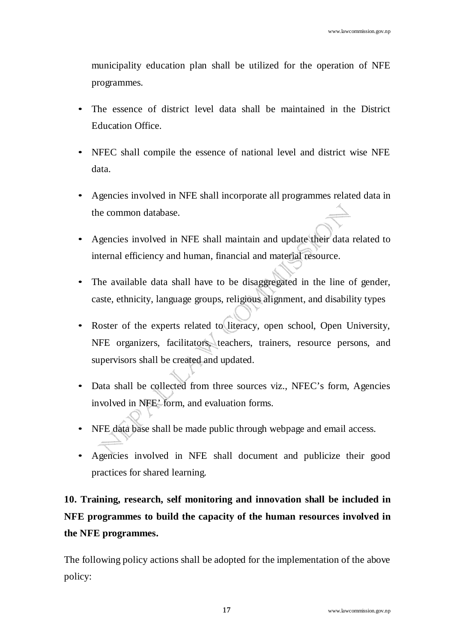municipality education plan shall be utilized for the operation of NFE programmes.

- The essence of district level data shall be maintained in the District Education Office.
- NFEC shall compile the essence of national level and district wise NFE data.
- Agencies involved in NFE shall incorporate all programmes related data in the common database.
- Agencies involved in NFE shall maintain and update their data related to internal efficiency and human, financial and material resource.
- The available data shall have to be disaggregated in the line of gender, caste, ethnicity, language groups, religious alignment, and disability types
- Roster of the experts related to literacy, open school, Open University, NFE organizers, facilitators, teachers, trainers, resource persons, and supervisors shall be created and updated.
- Data shall be collected from three sources viz., NFEC's form, Agencies involved in NFE' form, and evaluation forms.
- NFE data base shall be made public through webpage and email access.
- Agencies involved in NFE shall document and publicize their good practices for shared learning.

# **10. Training, research, self monitoring and innovation shall be included in NFE programmes to build the capacity of the human resources involved in the NFE programmes.**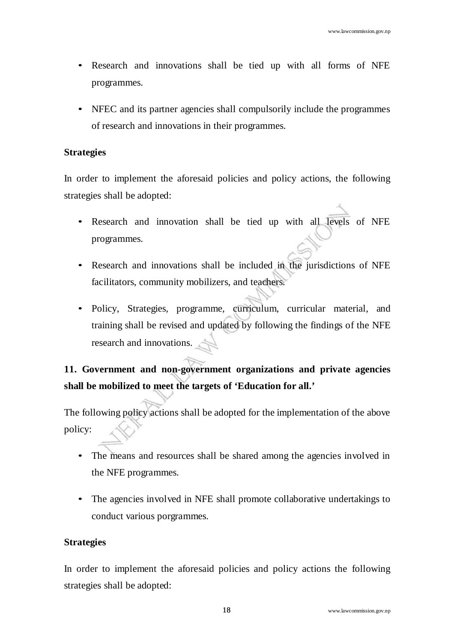- Research and innovations shall be tied up with all forms of NFE programmes.
- NFEC and its partner agencies shall compulsorily include the programmes of research and innovations in their programmes.

In order to implement the aforesaid policies and policy actions, the following strategies shall be adopted:

- Research and innovation shall be tied up with all levels of NFE programmes.
- Research and innovations shall be included in the jurisdictions of NFE facilitators, community mobilizers, and teachers.
- Policy, Strategies, programme, curriculum, curricular material, and training shall be revised and updated by following the findings of the NFE research and innovations.

# **11. Government and non-government organizations and private agencies shall be mobilized to meet the targets of 'Education for all.'**

The following policy actions shall be adopted for the implementation of the above policy:

- The means and resources shall be shared among the agencies involved in the NFE programmes.
- The agencies involved in NFE shall promote collaborative undertakings to conduct various porgrammes.

### **Strategies**

In order to implement the aforesaid policies and policy actions the following strategies shall be adopted: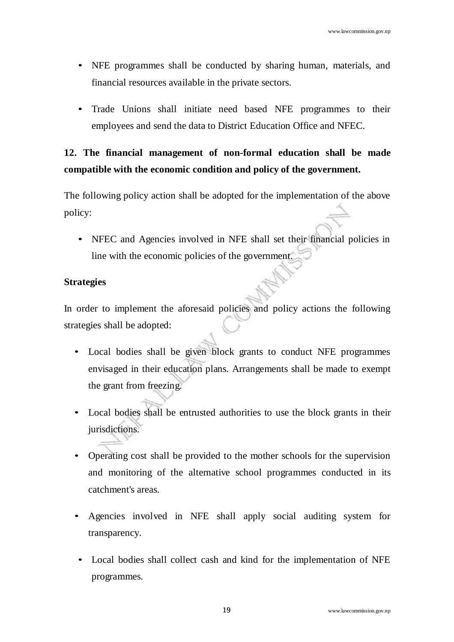- NFE programmes shall be conducted by sharing human, materials, and financial resources available in the private sectors.
- Trade Unions shall initiate need based NFE programmes to their employees and send the data to District Education Office and NFEC.

## **12. The financial management of non-formal education shall be made compatible with the economic condition and policy of the government.**

The following policy action shall be adopted for the implementation of the above policy:

• NFEC and Agencies involved in NFE shall set their financial policies in line with the economic policies of the government.

### **Strategies**

In order to implement the aforesaid policies and policy actions the following strategies shall be adopted:

- Local bodies shall be given block grants to conduct NFE programmes envisaged in their education plans. Arrangements shall be made to exempt the grant from freezing.
- Local bodies shall be entrusted authorities to use the block grants in their jurisdictions.
- Operating cost shall be provided to the mother schools for the supervision and monitoring of the alternative school programmes conducted in its catchment's areas.
- Agencies involved in NFE shall apply social auditing system for transparency.
- Local bodies shall collect cash and kind for the implementation of NFE programmes.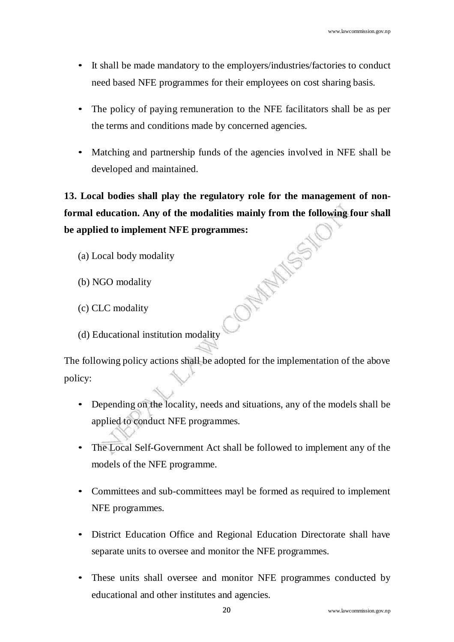- It shall be made mandatory to the employers/industries/factories to conduct need based NFE programmes for their employees on cost sharing basis.
- The policy of paying remuneration to the NFE facilitators shall be as per the terms and conditions made by concerned agencies.
- Matching and partnership funds of the agencies involved in NFE shall be developed and maintained.

**13. Local bodies shall play the regulatory role for the management of nonformal education. Any of the modalities mainly from the following four shall be applied to implement NFE programmes:**<br>
(a) Local body modality<br>
(b) NGO modality<br>
(c) CLC modality<br>
(d) r **be applied to implement NFE programmes:**

- (a) Local body modality
- (b) NGO modality
- (c) CLC modality
- (d) Educational institution modality

- Depending on the locality, needs and situations, any of the models shall be applied to conduct NFE programmes.
- The Local Self-Government Act shall be followed to implement any of the models of the NFE programme.
- Committees and sub-committees mayl be formed as required to implement NFE programmes.
- District Education Office and Regional Education Directorate shall have separate units to oversee and monitor the NFE programmes.
- These units shall oversee and monitor NFE programmes conducted by educational and other institutes and agencies.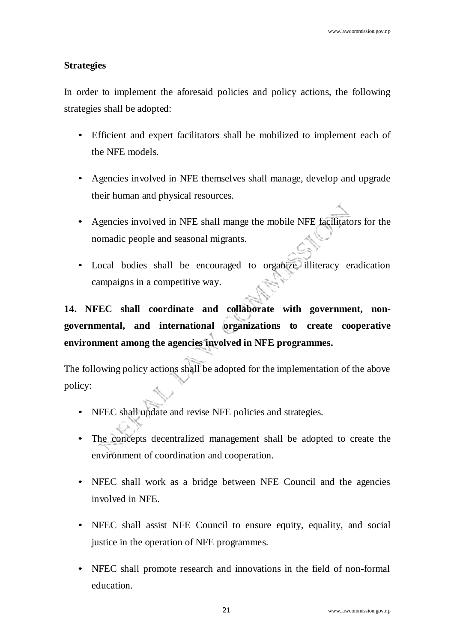In order to implement the aforesaid policies and policy actions, the following strategies shall be adopted:

- Efficient and expert facilitators shall be mobilized to implement each of the NFE models.
- Agencies involved in NFE themselves shall manage, develop and upgrade their human and physical resources.
- Agencies involved in NFE shall mange the mobile NFE facilitators for the nomadic people and seasonal migrants.
- Local bodies shall be encouraged to organize illiteracy eradication campaigns in a competitive way.

**14. NFEC shall coordinate and collaborate with government, nongovernmental, and international organizations to create cooperative environment among the agencies involved in NFE programmes.**

- NFEC shall update and revise NFE policies and strategies.
- The concepts decentralized management shall be adopted to create the environment of coordination and cooperation.
- NFEC shall work as a bridge between NFE Council and the agencies involved in NFE.
- NFEC shall assist NFE Council to ensure equity, equality, and social justice in the operation of NFE programmes.
- NFEC shall promote research and innovations in the field of non-formal education.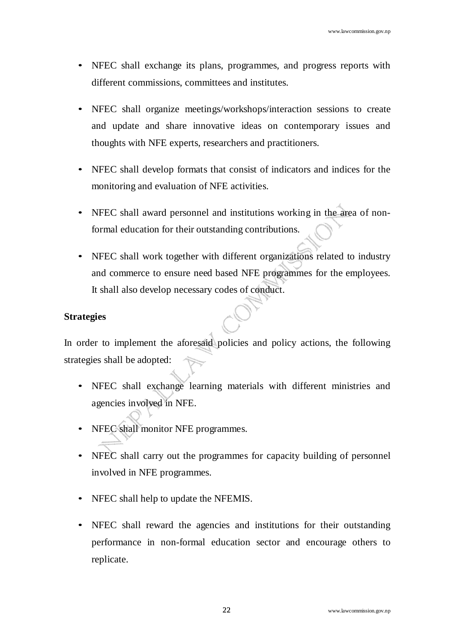- NFEC shall exchange its plans, programmes, and progress reports with different commissions, committees and institutes.
- NFEC shall organize meetings/workshops/interaction sessions to create and update and share innovative ideas on contemporary issues and thoughts with NFE experts, researchers and practitioners.
- NFEC shall develop formats that consist of indicators and indices for the monitoring and evaluation of NFE activities.
- NFEC shall award personnel and institutions working in the area of nonformal education for their outstanding contributions.
- NFEC shall work together with different organizations related to industry and commerce to ensure need based NFE programmes for the employees. It shall also develop necessary codes of conduct.

In order to implement the aforesaid policies and policy actions, the following strategies shall be adopted:

- NFEC shall exchange learning materials with different ministries and agencies involved in NFE.
- NFEC shall monitor NFE programmes.
- NFEC shall carry out the programmes for capacity building of personnel involved in NFE programmes.
- NFEC shall help to update the NFEMIS.
- NFEC shall reward the agencies and institutions for their outstanding performance in non-formal education sector and encourage others to replicate.